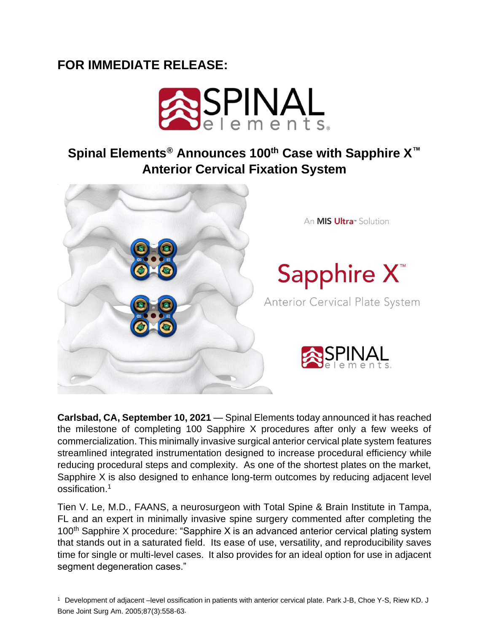## **FOR IMMEDIATE RELEASE:**



## **Spinal Elements® Announces 100th Case with Sapphire X™ Anterior Cervical Fixation System**



**Carlsbad, CA, September 10, 2021** — Spinal Elements today announced it has reached the milestone of completing 100 Sapphire X procedures after only a few weeks of commercialization. This minimally invasive surgical anterior cervical plate system features streamlined integrated instrumentation designed to increase procedural efficiency while reducing procedural steps and complexity. As one of the shortest plates on the market, Sapphire X is also designed to enhance long-term outcomes by reducing adjacent level ossification.<sup>1</sup>

Tien V. Le, M.D., FAANS, a neurosurgeon with Total Spine & Brain Institute in Tampa, FL and an expert in minimally invasive spine surgery commented after completing the 100<sup>th</sup> Sapphire X procedure: "Sapphire X is an advanced anterior cervical plating system that stands out in a saturated field. Its ease of use, versatility, and reproducibility saves time for single or multi-level cases. It also provides for an ideal option for use in adjacent segment degeneration cases."

<sup>1</sup>Development of adjacent –level ossification in patients with anterior cervical plate. Park J-B, Choe Y-S, Riew KD. J Bone Joint Surg Am. 2005;87(3):558-63.